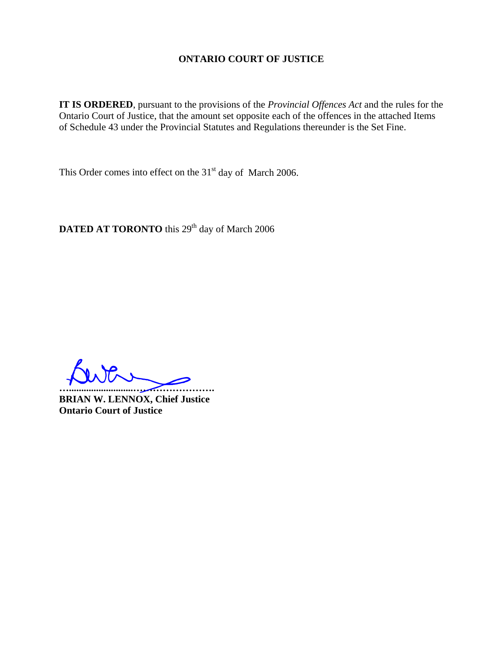## **ONTARIO COURT OF JUSTICE**

**IT IS ORDERED**, pursuant to the provisions of the *Provincial Offences Act* and the rules for the Ontario Court of Justice, that the amount set opposite each of the offences in the attached Items of Schedule 43 under the Provincial Statutes and Regulations thereunder is the Set Fine.

This Order comes into effect on the  $31<sup>st</sup>$  day of March 2006.

DATED AT TORONTO this 29<sup>th</sup> day of March 2006

**…..........................…………………….** 

**BRIAN W. LENNOX, Chief Justice Ontario Court of Justice**